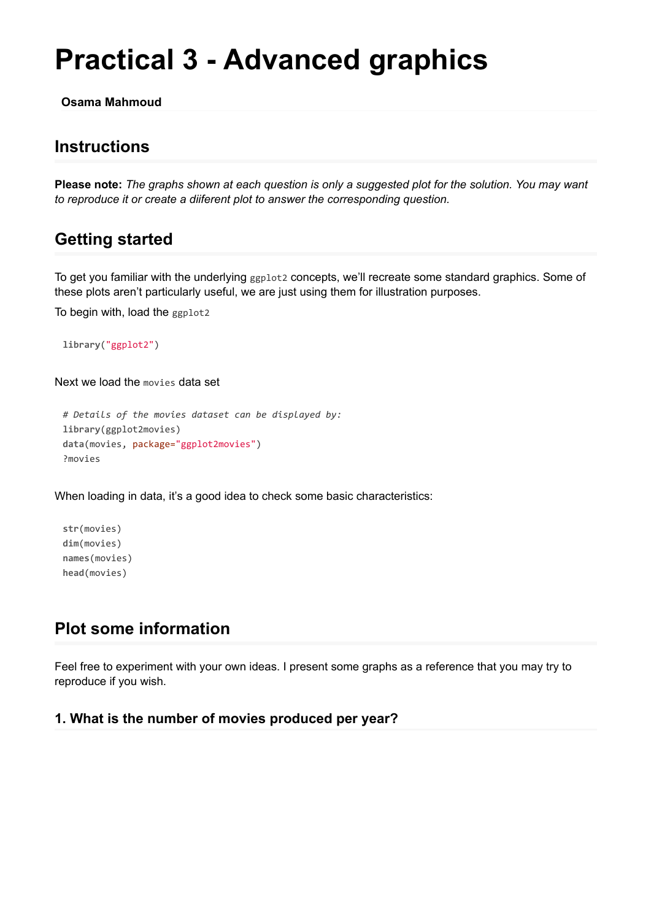# **Practical 3 - Advanced graphics**

**Osama Mahmoud**

## **Instructions**

**Please note:** *The graphs shown at each question is only a suggested plot for the solution. You may want to reproduce it or create a diiferent plot to answer the corresponding question.*

# **Getting started**

To get you familiar with the underlying ggplot2 concepts, we'll recreate some standard graphics. Some of these plots aren't particularly useful, we are just using them for illustration purposes.

To begin with, load the ggplot2

**library**("ggplot2")

Next we load the movies data set

```
# Details of the movies dataset can be displayed by:
library(ggplot2movies)
data(movies, package="ggplot2movies")
?movies
```
When loading in data, it's a good idea to check some basic characteristics:

**str**(movies) **dim**(movies) **names**(movies) **head**(movies)

# **Plot some information**

Feel free to experiment with your own ideas. I present some graphs as a reference that you may try to reproduce if you wish.

#### **1. What is the number of movies produced per year?**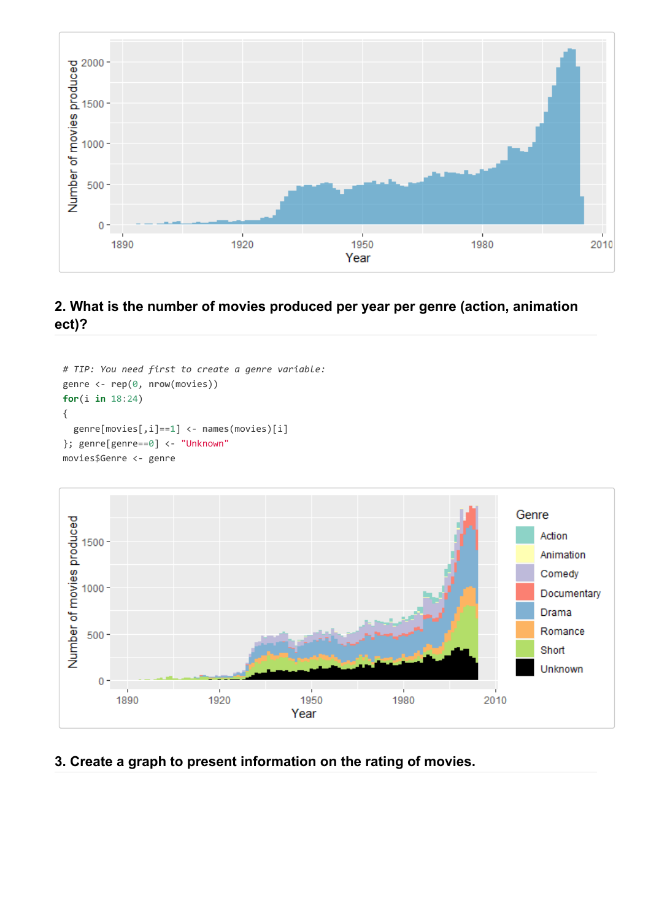

## **2. What is the number of movies produced per year per genre (action, animation ect)?**

```
# TIP: You need first to create a genre variable:
genre <- rep(0, nrow(movies))
for(i in 18:24)
{
  genre[movies[,i]==1] <- names(movies)[i]
}; genre[genre==0] <- "Unknown"
movies$Genre <- genre
```


### **3. Create a graph to present information on the rating of movies.**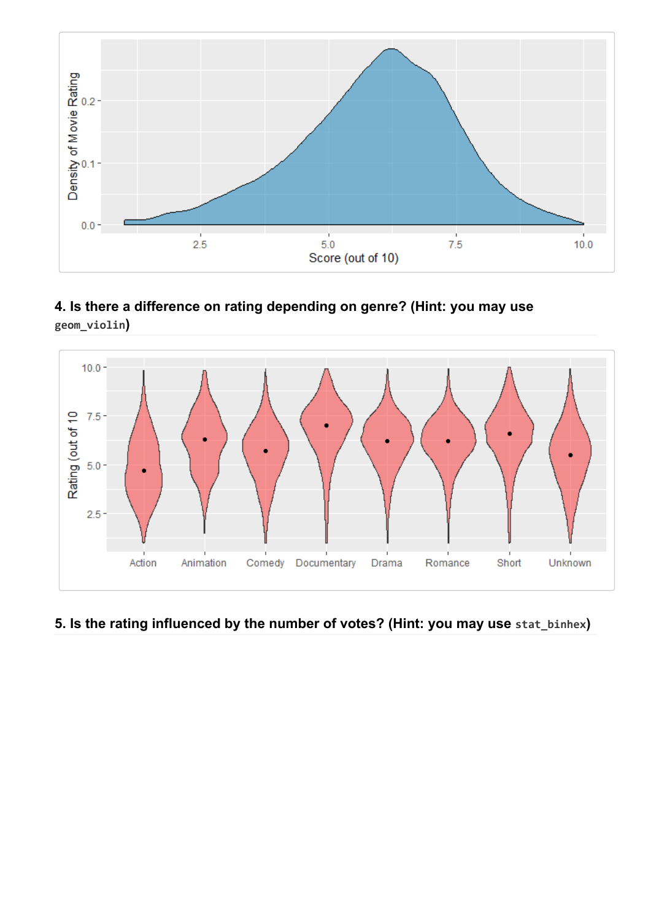

**4. Is there a difference on rating depending on genre? (Hint: you may use geom\_violin)**



## **5. Is the rating influenced by the number of votes? (Hint: you may use stat\_binhex)**